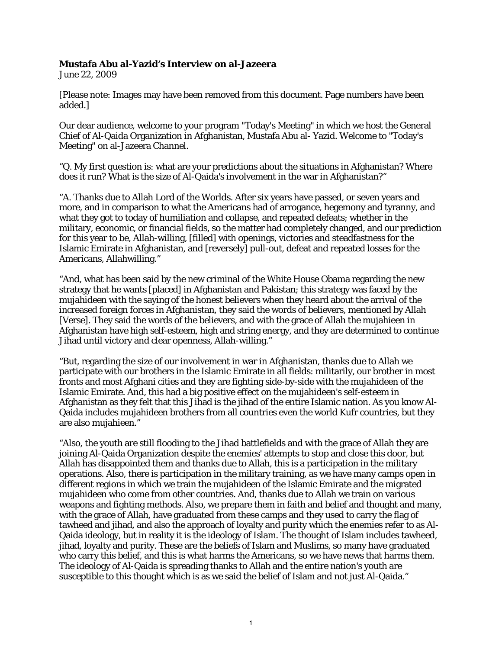## **Mustafa Abu al-Yazid's Interview on al-Jazeera**

June 22, 2009

[Please note: Images may have been removed from this document. Page numbers have been added.]

Our dear audience, welcome to your program "Today's Meeting" in which we host the General Chief of Al-Qaida Organization in Afghanistan, Mustafa Abu al- Yazid. Welcome to "Today's Meeting" on al-Jazeera Channel.

"Q. My first question is: what are your predictions about the situations in Afghanistan? Where does it run? What is the size of Al-Qaida's involvement in the war in Afghanistan?"

"A. Thanks due to Allah Lord of the Worlds. After six years have passed, or seven years and more, and in comparison to what the Americans had of arrogance, hegemony and tyranny, and what they got to today of humiliation and collapse, and repeated defeats; whether in the military, economic, or financial fields, so the matter had completely changed, and our prediction for this year to be, Allah-willing, [filled] with openings, victories and steadfastness for the Islamic Emirate in Afghanistan, and [reversely] pull-out, defeat and repeated losses for the Americans, Allahwilling."

"And, what has been said by the new criminal of the White House Obama regarding the new strategy that he wants [placed] in Afghanistan and Pakistan; this strategy was faced by the mujahideen with the saying of the honest believers when they heard about the arrival of the increased foreign forces in Afghanistan, they said the words of believers, mentioned by Allah [Verse]. They said the words of the believers, and with the grace of Allah the mujahieen in Afghanistan have high self-esteem, high and string energy, and they are determined to continue Jihad until victory and clear openness, Allah-willing."

"But, regarding the size of our involvement in war in Afghanistan, thanks due to Allah we participate with our brothers in the Islamic Emirate in all fields: militarily, our brother in most fronts and most Afghani cities and they are fighting side-by-side with the mujahideen of the Islamic Emirate. And, this had a big positive effect on the mujahideen's self-esteem in Afghanistan as they felt that this Jihad is the jihad of the entire Islamic nation. As you know Al-Qaida includes mujahideen brothers from all countries even the world Kufr countries, but they are also mujahieen."

"Also, the youth are still flooding to the Jihad battlefields and with the grace of Allah they are joining Al-Qaida Organization despite the enemies' attempts to stop and close this door, but Allah has disappointed them and thanks due to Allah, this is a participation in the military operations. Also, there is participation in the military training, as we have many camps open in different regions in which we train the mujahideen of the Islamic Emirate and the migrated mujahideen who come from other countries. And, thanks due to Allah we train on various weapons and fighting methods. Also, we prepare them in faith and belief and thought and many, with the grace of Allah, have graduated from these camps and they used to carry the flag of tawheed and jihad, and also the approach of loyalty and purity which the enemies refer to as Al-Qaida ideology, but in reality it is the ideology of Islam. The thought of Islam includes tawheed, jihad, loyalty and purity. These are the beliefs of Islam and Muslims, so many have graduated who carry this belief, and this is what harms the Americans, so we have news that harms them. The ideology of Al-Qaida is spreading thanks to Allah and the entire nation's youth are susceptible to this thought which is as we said the belief of Islam and not just Al-Qaida."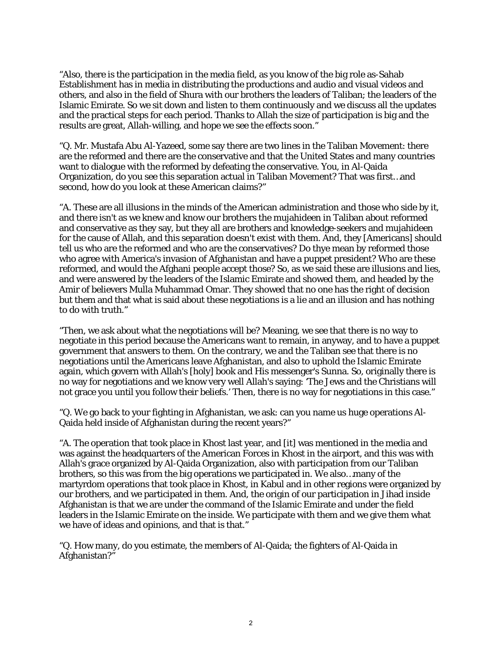"Also, there is the participation in the media field, as you know of the big role as-Sahab Establishment has in media in distributing the productions and audio and visual videos and others, and also in the field of Shura with our brothers the leaders of Taliban; the leaders of the Islamic Emirate. So we sit down and listen to them continuously and we discuss all the updates and the practical steps for each period. Thanks to Allah the size of participation is big and the results are great, Allah-willing, and hope we see the effects soon."

"Q. Mr. Mustafa Abu Al-Yazeed, some say there are two lines in the Taliban Movement: there are the reformed and there are the conservative and that the United States and many countries want to dialogue with the reformed by defeating the conservative. You, in Al-Qaida Organization, do you see this separation actual in Taliban Movement? That was first…and second, how do you look at these American claims?"

"A. These are all illusions in the minds of the American administration and those who side by it, and there isn't as we knew and know our brothers the mujahideen in Taliban about reformed and conservative as they say, but they all are brothers and knowledge-seekers and mujahideen for the cause of Allah, and this separation doesn't exist with them. And, they [Americans] should tell us who are the reformed and who are the conservatives? Do thye mean by reformed those who agree with America's invasion of Afghanistan and have a puppet president? Who are these reformed, and would the Afghani people accept those? So, as we said these are illusions and lies, and were answered by the leaders of the Islamic Emirate and showed them, and headed by the Amir of believers Mulla Muhammad Omar. They showed that no one has the right of decision but them and that what is said about these negotiations is a lie and an illusion and has nothing to do with truth."

"Then, we ask about what the negotiations will be? Meaning, we see that there is no way to negotiate in this period because the Americans want to remain, in anyway, and to have a puppet government that answers to them. On the contrary, we and the Taliban see that there is no negotiations until the Americans leave Afghanistan, and also to uphold the Islamic Emirate again, which govern with Allah's [holy] book and His messenger's Sunna. So, originally there is no way for negotiations and we know very well Allah's saying: 'The Jews and the Christians will not grace you until you follow their beliefs.' Then, there is no way for negotiations in this case."

"Q. We go back to your fighting in Afghanistan, we ask: can you name us huge operations Al-Qaida held inside of Afghanistan during the recent years?"

"A. The operation that took place in Khost last year, and [it] was mentioned in the media and was against the headquarters of the American Forces in Khost in the airport, and this was with Allah's grace organized by Al-Qaida Organization, also with participation from our Taliban brothers, so this was from the big operations we participated in. We also…many of the martyrdom operations that took place in Khost, in Kabul and in other regions were organized by our brothers, and we participated in them. And, the origin of our participation in Jihad inside Afghanistan is that we are under the command of the Islamic Emirate and under the field leaders in the Islamic Emirate on the inside. We participate with them and we give them what we have of ideas and opinions, and that is that."

"Q. How many, do you estimate, the members of Al-Qaida; the fighters of Al-Qaida in Afghanistan?"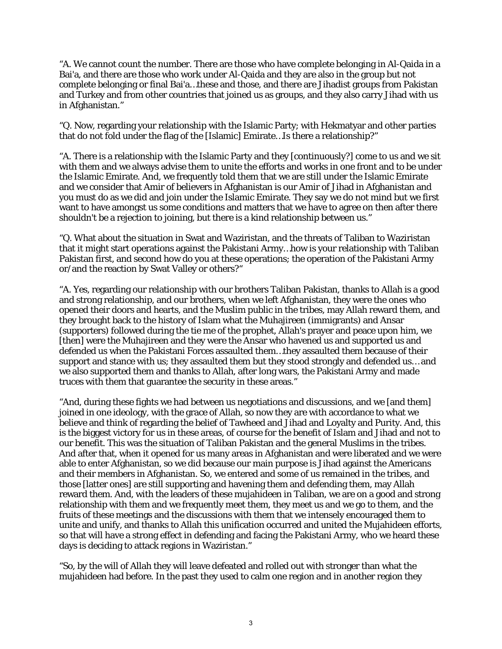"A. We cannot count the number. There are those who have complete belonging in Al-Qaida in a Bai'a, and there are those who work under Al-Qaida and they are also in the group but not complete belonging or final Bai'a…these and those, and there are Jihadist groups from Pakistan and Turkey and from other countries that joined us as groups, and they also carry Jihad with us in Afghanistan."

"Q. Now, regarding your relationship with the Islamic Party; with Hekmatyar and other parties that do not fold under the flag of the [Islamic] Emirate…Is there a relationship?"

"A. There is a relationship with the Islamic Party and they [continuously?] come to us and we sit with them and we always advise them to unite the efforts and works in one front and to be under the Islamic Emirate. And, we frequently told them that we are still under the Islamic Emirate and we consider that Amir of believers in Afghanistan is our Amir of Jihad in Afghanistan and you must do as we did and join under the Islamic Emirate. They say we do not mind but we first want to have amongst us some conditions and matters that we have to agree on then after there shouldn't be a rejection to joining, but there is a kind relationship between us."

"Q. What about the situation in Swat and Waziristan, and the threats of Taliban to Waziristan that it might start operations against the Pakistani Army…how is your relationship with Taliban Pakistan first, and second how do you at these operations; the operation of the Pakistani Army or/and the reaction by Swat Valley or others?"

"A. Yes, regarding our relationship with our brothers Taliban Pakistan, thanks to Allah is a good and strong relationship, and our brothers, when we left Afghanistan, they were the ones who opened their doors and hearts, and the Muslim public in the tribes, may Allah reward them, and they brought back to the history of Islam what the Muhajireen (immigrants) and Ansar (supporters) followed during the tie me of the prophet, Allah's prayer and peace upon him, we [then] were the Muhajireen and they were the Ansar who havened us and supported us and defended us when the Pakistani Forces assaulted them…they assaulted them because of their support and stance with us; they assaulted them but they stood strongly and defended us… and we also supported them and thanks to Allah, after long wars, the Pakistani Army and made truces with them that guarantee the security in these areas."

"And, during these fights we had between us negotiations and discussions, and we [and them] joined in one ideology, with the grace of Allah, so now they are with accordance to what we believe and think of regarding the belief of Tawheed and Jihad and Loyalty and Purity. And, this is the biggest victory for us in these areas, of course for the benefit of Islam and Jihad and not to our benefit. This was the situation of Taliban Pakistan and the general Muslims in the tribes. And after that, when it opened for us many areas in Afghanistan and were liberated and we were able to enter Afghanistan, so we did because our main purpose is Jihad against the Americans and their members in Afghanistan. So, we entered and some of us remained in the tribes, and those [latter ones] are still supporting and havening them and defending them, may Allah reward them. And, with the leaders of these mujahideen in Taliban, we are on a good and strong relationship with them and we frequently meet them, they meet us and we go to them, and the fruits of these meetings and the discussions with them that we intensely encouraged them to unite and unify, and thanks to Allah this unification occurred and united the Mujahideen efforts, so that will have a strong effect in defending and facing the Pakistani Army, who we heard these days is deciding to attack regions in Waziristan."

"So, by the will of Allah they will leave defeated and rolled out with stronger than what the mujahideen had before. In the past they used to calm one region and in another region they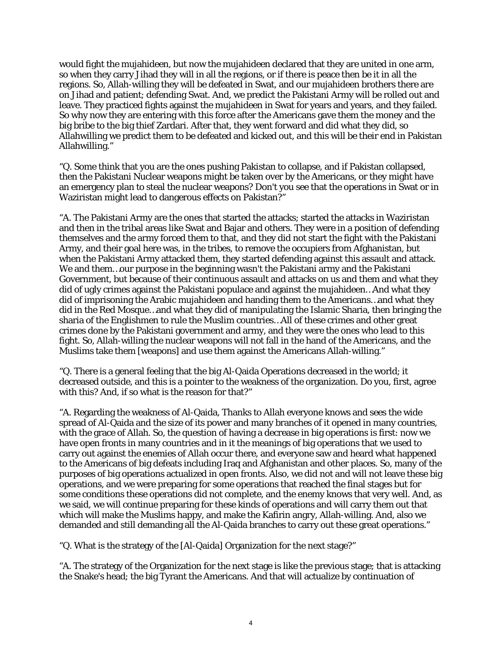would fight the mujahideen, but now the mujahideen declared that they are united in one arm, so when they carry Jihad they will in all the regions, or if there is peace then be it in all the regions. So, Allah-willing they will be defeated in Swat, and our mujahideen brothers there are on Jihad and patient; defending Swat. And, we predict the Pakistani Army will be rolled out and leave. They practiced fights against the mujahideen in Swat for years and years, and they failed. So why now they are entering with this force after the Americans gave them the money and the big bribe to the big thief Zardari. After that, they went forward and did what they did, so Allahwilling we predict them to be defeated and kicked out, and this will be their end in Pakistan Allahwilling."

"Q. Some think that you are the ones pushing Pakistan to collapse, and if Pakistan collapsed, then the Pakistani Nuclear weapons might be taken over by the Americans, or they might have an emergency plan to steal the nuclear weapons? Don't you see that the operations in Swat or in Waziristan might lead to dangerous effects on Pakistan?"

"A. The Pakistani Army are the ones that started the attacks; started the attacks in Waziristan and then in the tribal areas like Swat and Bajar and others. They were in a position of defending themselves and the army forced them to that, and they did not start the fight with the Pakistani Army, and their goal here was, in the tribes, to remove the occupiers from Afghanistan, but when the Pakistani Army attacked them, they started defending against this assault and attack. We and them…our purpose in the beginning wasn't the Pakistani army and the Pakistani Government, but because of their continuous assault and attacks on us and them and what they did of ugly crimes against the Pakistani populace and against the mujahideen…And what they did of imprisoning the Arabic mujahideen and handing them to the Americans…and what they did in the Red Mosque…and what they did of manipulating the Islamic Sharia, then bringing the sharia of the Englishmen to rule the Muslim countries…All of these crimes and other great crimes done by the Pakistani government and army, and they were the ones who lead to this fight. So, Allah-willing the nuclear weapons will not fall in the hand of the Americans, and the Muslims take them [weapons] and use them against the Americans Allah-willing."

"Q. There is a general feeling that the big Al-Qaida Operations decreased in the world; it decreased outside, and this is a pointer to the weakness of the organization. Do you, first, agree with this? And, if so what is the reason for that?"

"A. Regarding the weakness of Al-Qaida, Thanks to Allah everyone knows and sees the wide spread of Al-Qaida and the size of its power and many branches of it opened in many countries, with the grace of Allah. So, the question of having a decrease in big operations is first: now we have open fronts in many countries and in it the meanings of big operations that we used to carry out against the enemies of Allah occur there, and everyone saw and heard what happened to the Americans of big defeats including Iraq and Afghanistan and other places. So, many of the purposes of big operations actualized in open fronts. Also, we did not and will not leave these big operations, and we were preparing for some operations that reached the final stages but for some conditions these operations did not complete, and the enemy knows that very well. And, as we said, we will continue preparing for these kinds of operations and will carry them out that which will make the Muslims happy, and make the Kafirin angry, Allah-willing. And, also we demanded and still demanding all the Al-Qaida branches to carry out these great operations."

"Q. What is the strategy of the [Al-Qaida] Organization for the next stage?"

"A. The strategy of the Organization for the next stage is like the previous stage; that is attacking the Snake's head; the big Tyrant the Americans. And that will actualize by continuation of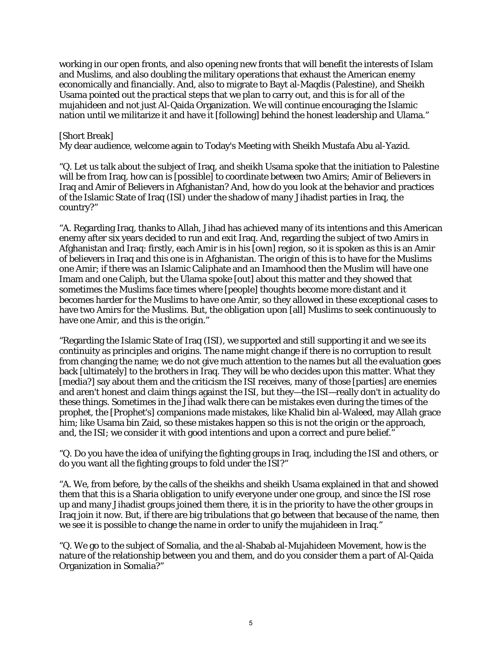working in our open fronts, and also opening new fronts that will benefit the interests of Islam and Muslims, and also doubling the military operations that exhaust the American enemy economically and financially. And, also to migrate to Bayt al-Maqdis (Palestine), and Sheikh Usama pointed out the practical steps that we plan to carry out, and this is for all of the mujahideen and not just Al-Qaida Organization. We will continue encouraging the Islamic nation until we militarize it and have it [following] behind the honest leadership and Ulama."

## [Short Break]

My dear audience, welcome again to Today's Meeting with Sheikh Mustafa Abu al-Yazid.

"Q. Let us talk about the subject of Iraq, and sheikh Usama spoke that the initiation to Palestine will be from Iraq, how can is [possible] to coordinate between two Amirs; Amir of Believers in Iraq and Amir of Believers in Afghanistan? And, how do you look at the behavior and practices of the Islamic State of Iraq (ISI) under the shadow of many Jihadist parties in Iraq, the country?"

"A. Regarding Iraq, thanks to Allah, Jihad has achieved many of its intentions and this American enemy after six years decided to run and exit Iraq. And, regarding the subject of two Amirs in Afghanistan and Iraq: firstly, each Amir is in his [own] region, so it is spoken as this is an Amir of believers in Iraq and this one is in Afghanistan. The origin of this is to have for the Muslims one Amir; if there was an Islamic Caliphate and an Imamhood then the Muslim will have one Imam and one Caliph, but the Ulama spoke [out] about this matter and they showed that sometimes the Muslims face times where [people] thoughts become more distant and it becomes harder for the Muslims to have one Amir, so they allowed in these exceptional cases to have two Amirs for the Muslims. But, the obligation upon [all] Muslims to seek continuously to have one Amir, and this is the origin."

"Regarding the Islamic State of Iraq (ISI), we supported and still supporting it and we see its continuity as principles and origins. The name might change if there is no corruption to result from changing the name; we do not give much attention to the names but all the evaluation goes back [ultimately] to the brothers in Iraq. They will be who decides upon this matter. What they [media?] say about them and the criticism the ISI receives, many of those [parties] are enemies and aren't honest and claim things against the ISI, but they—the ISI—really don't in actuality do these things. Sometimes in the Jihad walk there can be mistakes even during the times of the prophet, the [Prophet's] companions made mistakes, like Khalid bin al-Waleed, may Allah grace him; like Usama bin Zaid, so these mistakes happen so this is not the origin or the approach, and, the ISI; we consider it with good intentions and upon a correct and pure belief."

"Q. Do you have the idea of unifying the fighting groups in Iraq, including the ISI and others, or do you want all the fighting groups to fold under the ISI?"

"A. We, from before, by the calls of the sheikhs and sheikh Usama explained in that and showed them that this is a Sharia obligation to unify everyone under one group, and since the ISI rose up and many Jihadist groups joined them there, it is in the priority to have the other groups in Iraq join it now. But, if there are big tribulations that go between that because of the name, then we see it is possible to change the name in order to unify the mujahideen in Iraq."

"Q. We go to the subject of Somalia, and the al-Shabab al-Mujahideen Movement, how is the nature of the relationship between you and them, and do you consider them a part of Al-Qaida Organization in Somalia?"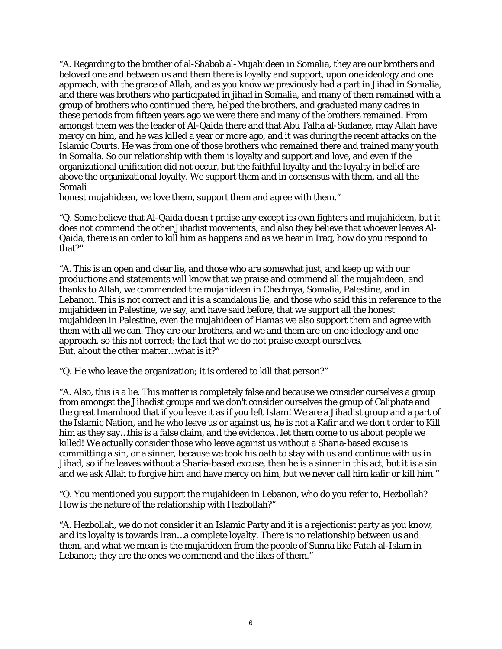"A. Regarding to the brother of al-Shabab al-Mujahideen in Somalia, they are our brothers and beloved one and between us and them there is loyalty and support, upon one ideology and one approach, with the grace of Allah, and as you know we previously had a part in Jihad in Somalia, and there was brothers who participated in jihad in Somalia, and many of them remained with a group of brothers who continued there, helped the brothers, and graduated many cadres in these periods from fifteen years ago we were there and many of the brothers remained. From amongst them was the leader of Al-Qaida there and that Abu Talha al-Sudanee, may Allah have mercy on him, and he was killed a year or more ago, and it was during the recent attacks on the Islamic Courts. He was from one of those brothers who remained there and trained many youth in Somalia. So our relationship with them is loyalty and support and love, and even if the organizational unification did not occur, but the faithful loyalty and the loyalty in belief are above the organizational loyalty. We support them and in consensus with them, and all the Somali

honest mujahideen, we love them, support them and agree with them."

"Q. Some believe that Al-Qaida doesn't praise any except its own fighters and mujahideen, but it does not commend the other Jihadist movements, and also they believe that whoever leaves Al-Qaida, there is an order to kill him as happens and as we hear in Iraq, how do you respond to that?"

"A. This is an open and clear lie, and those who are somewhat just, and keep up with our productions and statements will know that we praise and commend all the mujahideen, and thanks to Allah, we commended the mujahideen in Chechnya, Somalia, Palestine, and in Lebanon. This is not correct and it is a scandalous lie, and those who said this in reference to the mujahideen in Palestine, we say, and have said before, that we support all the honest mujahideen in Palestine, even the mujahideen of Hamas we also support them and agree with them with all we can. They are our brothers, and we and them are on one ideology and one approach, so this not correct; the fact that we do not praise except ourselves. But, about the other matter…what is it?"

"Q. He who leave the organization; it is ordered to kill that person?"

"A. Also, this is a lie. This matter is completely false and because we consider ourselves a group from amongst the Jihadist groups and we don't consider ourselves the group of Caliphate and the great Imamhood that if you leave it as if you left Islam! We are a Jihadist group and a part of the Islamic Nation, and he who leave us or against us, he is not a Kafir and we don't order to Kill him as they say…this is a false claim, and the evidence…let them come to us about people we killed! We actually consider those who leave against us without a Sharia-based excuse is committing a sin, or a sinner, because we took his oath to stay with us and continue with us in Jihad, so if he leaves without a Sharia-based excuse, then he is a sinner in this act, but it is a sin and we ask Allah to forgive him and have mercy on him, but we never call him kafir or kill him."

"Q. You mentioned you support the mujahideen in Lebanon, who do you refer to, Hezbollah? How is the nature of the relationship with Hezbollah?"

"A. Hezbollah, we do not consider it an Islamic Party and it is a rejectionist party as you know, and its loyalty is towards Iran…a complete loyalty. There is no relationship between us and them, and what we mean is the mujahideen from the people of Sunna like Fatah al-Islam in Lebanon; they are the ones we commend and the likes of them."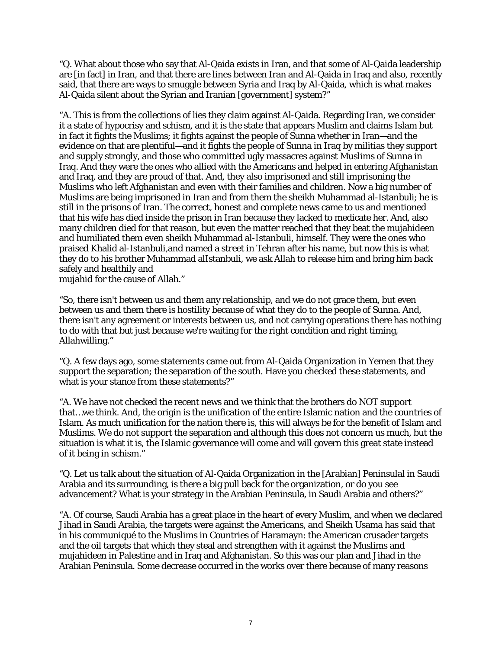"Q. What about those who say that Al-Qaida exists in Iran, and that some of Al-Qaida leadership are [in fact] in Iran, and that there are lines between Iran and Al-Qaida in Iraq and also, recently said, that there are ways to smuggle between Syria and Iraq by Al-Qaida, which is what makes Al-Qaida silent about the Syrian and Iranian [government] system?"

"A. This is from the collections of lies they claim against Al-Qaida. Regarding Iran, we consider it a state of hypocrisy and schism, and it is the state that appears Muslim and claims Islam but in fact it fights the Muslims; it fights against the people of Sunna whether in Iran—and the evidence on that are plentiful—and it fights the people of Sunna in Iraq by militias they support and supply strongly, and those who committed ugly massacres against Muslims of Sunna in Iraq. And they were the ones who allied with the Americans and helped in entering Afghanistan and Iraq, and they are proud of that. And, they also imprisoned and still imprisoning the Muslims who left Afghanistan and even with their families and children. Now a big number of Muslims are being imprisoned in Iran and from them the sheikh Muhammad al-Istanbuli; he is still in the prisons of Iran. The correct, honest and complete news came to us and mentioned that his wife has died inside the prison in Iran because they lacked to medicate her. And, also many children died for that reason, but even the matter reached that they beat the mujahideen and humiliated them even sheikh Muhammad al-Istanbuli, himself. They were the ones who praised Khalid al-Istanbuli,and named a street in Tehran after his name, but now this is what they do to his brother Muhammad alIstanbuli, we ask Allah to release him and bring him back safely and healthily and

mujahid for the cause of Allah."

"So, there isn't between us and them any relationship, and we do not grace them, but even between us and them there is hostility because of what they do to the people of Sunna. And, there isn't any agreement or interests between us, and not carrying operations there has nothing to do with that but just because we're waiting for the right condition and right timing, Allahwilling."

"Q. A few days ago, some statements came out from Al-Qaida Organization in Yemen that they support the separation; the separation of the south. Have you checked these statements, and what is your stance from these statements?"

"A. We have not checked the recent news and we think that the brothers do NOT support that…we think. And, the origin is the unification of the entire Islamic nation and the countries of Islam. As much unification for the nation there is, this will always be for the benefit of Islam and Muslims. We do not support the separation and although this does not concern us much, but the situation is what it is, the Islamic governance will come and will govern this great state instead of it being in schism."

"Q. Let us talk about the situation of Al-Qaida Organization in the [Arabian] Peninsulal in Saudi Arabia and its surrounding, is there a big pull back for the organization, or do you see advancement? What is your strategy in the Arabian Peninsula, in Saudi Arabia and others?"

"A. Of course, Saudi Arabia has a great place in the heart of every Muslim, and when we declared Jihad in Saudi Arabia, the targets were against the Americans, and Sheikh Usama has said that in his communiqué to the Muslims in Countries of Haramayn: the American crusader targets and the oil targets that which they steal and strengthen with it against the Muslims and mujahideen in Palestine and in Iraq and Afghanistan. So this was our plan and Jihad in the Arabian Peninsula. Some decrease occurred in the works over there because of many reasons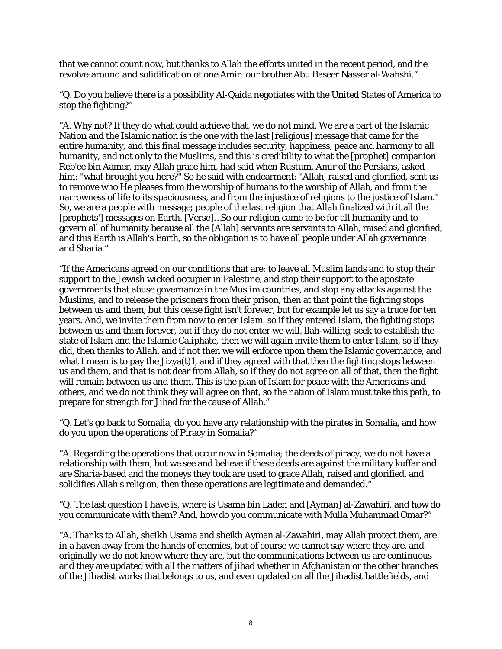that we cannot count now, but thanks to Allah the efforts united in the recent period, and the revolve-around and solidification of one Amir: our brother Abu Baseer Nasser al-Wahshi."

"Q. Do you believe there is a possibility Al-Qaida negotiates with the United States of America to stop the fighting?"

"A. Why not? If they do what could achieve that, we do not mind. We are a part of the Islamic Nation and the Islamic nation is the one with the last [religious] message that came for the entire humanity, and this final message includes security, happiness, peace and harmony to all humanity, and not only to the Muslims, and this is credibility to what the [prophet] companion Reb'ee bin Aamer, may Allah grace him, had said when Rustum, Amir of the Persians, asked him: "what brought you here?" So he said with endearment: "Allah, raised and glorified, sent us to remove who He pleases from the worship of humans to the worship of Allah, and from the narrowness of life to its spaciousness, and from the injustice of religions to the justice of Islam." So, we are a people with message; people of the last religion that Allah finalized with it all the [prophets'] messages on Earth. [Verse]…So our religion came to be for all humanity and to govern all of humanity because all the [Allah] servants are servants to Allah, raised and glorified, and this Earth is Allah's Earth, so the obligation is to have all people under Allah governance and Sharia."

"If the Americans agreed on our conditions that are: to leave all Muslim lands and to stop their support to the Jewish wicked occupier in Palestine, and stop their support to the apostate governments that abuse governance in the Muslim countries, and stop any attacks against the Muslims, and to release the prisoners from their prison, then at that point the fighting stops between us and them, but this cease fight isn't forever, but for example let us say a truce for ten years. And, we invite them from now to enter Islam, so if they entered Islam, the fighting stops between us and them forever, but if they do not enter we will, llah-willing, seek to establish the state of Islam and the Islamic Caliphate, then we will again invite them to enter Islam, so if they did, then thanks to Allah, and if not then we will enforce upon them the Islamic governance, and what I mean is to pay the Jizya(t)1, and if they agreed with that then the fighting stops between us and them, and that is not dear from Allah, so if they do not agree on all of that, then the fight will remain between us and them. This is the plan of Islam for peace with the Americans and others, and we do not think they will agree on that, so the nation of Islam must take this path, to prepare for strength for Jihad for the cause of Allah."

"Q. Let's go back to Somalia, do you have any relationship with the pirates in Somalia, and how do you upon the operations of Piracy in Somalia?"

"A. Regarding the operations that occur now in Somalia; the deeds of piracy, we do not have a relationship with them, but we see and believe if these deeds are against the military kuffar and are Sharia-based and the moneys they took are used to grace Allah, raised and glorified, and solidifies Allah's religion, then these operations are legitimate and demanded."

"Q. The last question I have is, where is Usama bin Laden and [Ayman] al-Zawahiri, and how do you communicate with them? And, how do you communicate with Mulla Muhammad Omar?"

"A. Thanks to Allah, sheikh Usama and sheikh Ayman al-Zawahiri, may Allah protect them, are in a haven away from the hands of enemies, but of course we cannot say where they are, and originally we do not know where they are, but the communications between us are continuous and they are updated with all the matters of jihad whether in Afghanistan or the other branches of the Jihadist works that belongs to us, and even updated on all the Jihadist battlefields, and